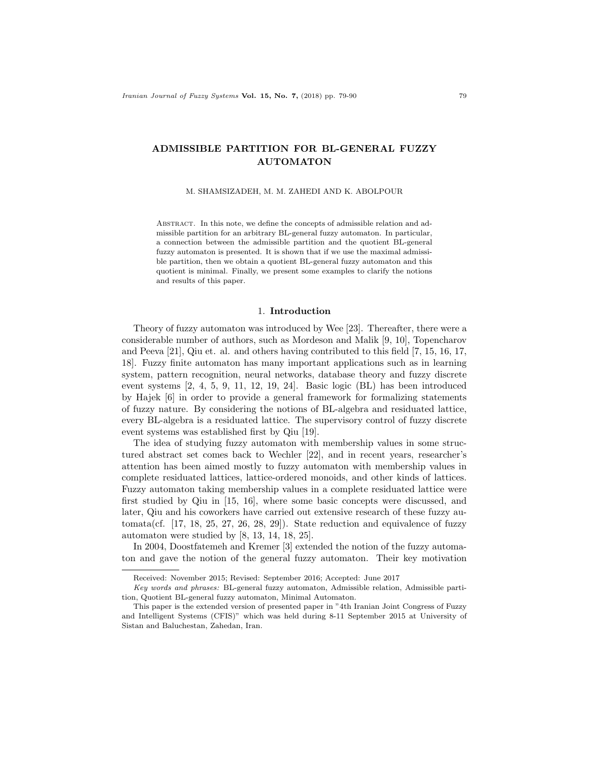# ADMISSIBLE PARTITION FOR BL-GENERAL FUZZY AUTOMATON

#### M. SHAMSIZADEH, M. M. ZAHEDI AND K. ABOLPOUR

Abstract. In this note, we define the concepts of admissible relation and admissible partition for an arbitrary BL-general fuzzy automaton. In particular, a connection between the admissible partition and the quotient BL-general fuzzy automaton is presented. It is shown that if we use the maximal admissible partition, then we obtain a quotient BL-general fuzzy automaton and this quotient is minimal. Finally, we present some examples to clarify the notions and results of this paper.

### 1. Introduction

Theory of fuzzy automaton was introduced by Wee [23]. Thereafter, there were a considerable number of authors, such as Mordeson and Malik [9, 10], Topencharov and Peeva [21], Qiu et. al. and others having contributed to this field [7, 15, 16, 17, 18]. Fuzzy finite automaton has many important applications such as in learning system, pattern recognition, neural networks, database theory and fuzzy discrete event systems [2, 4, 5, 9, 11, 12, 19, 24]. Basic logic (BL) has been introduced by Hajek [6] in order to provide a general framework for formalizing statements of fuzzy nature. By considering the notions of BL-algebra and residuated lattice, every BL-algebra is a residuated lattice. The supervisory control of fuzzy discrete event systems was established first by Qiu [19].

The idea of studying fuzzy automaton with membership values in some structured abstract set comes back to Wechler [22], and in recent years, researcher's attention has been aimed mostly to fuzzy automaton with membership values in complete residuated lattices, lattice-ordered monoids, and other kinds of lattices. Fuzzy automaton taking membership values in a complete residuated lattice were first studied by Qiu in [15, 16], where some basic concepts were discussed, and later, Qiu and his coworkers have carried out extensive research of these fuzzy automata(cf. [17, 18, 25, 27, 26, 28, 29]). State reduction and equivalence of fuzzy automaton were studied by [8, 13, 14, 18, 25].

In 2004, Doostfatemeh and Kremer [3] extended the notion of the fuzzy automaton and gave the notion of the general fuzzy automaton. Their key motivation

Received: November 2015; Revised: September 2016; Accepted: June 2017

Key words and phrases: BL-general fuzzy automaton, Admissible relation, Admissible partition, Quotient BL-general fuzzy automaton, Minimal Automaton.

This paper is the extended version of presented paper in "4th Iranian Joint Congress of Fuzzy and Intelligent Systems (CFIS)" which was held during 8-11 September 2015 at University of Sistan and Baluchestan, Zahedan, Iran.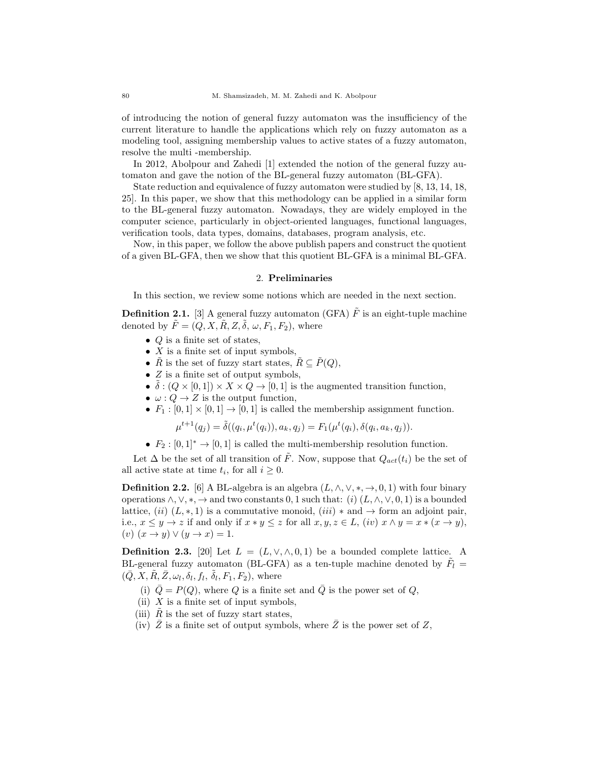of introducing the notion of general fuzzy automaton was the insufficiency of the current literature to handle the applications which rely on fuzzy automaton as a modeling tool, assigning membership values to active states of a fuzzy automaton, resolve the multi -membership.

In 2012, Abolpour and Zahedi [1] extended the notion of the general fuzzy automaton and gave the notion of the BL-general fuzzy automaton (BL-GFA).

State reduction and equivalence of fuzzy automaton were studied by [8, 13, 14, 18, 25]. In this paper, we show that this methodology can be applied in a similar form to the BL-general fuzzy automaton. Nowadays, they are widely employed in the computer science, particularly in object-oriented languages, functional languages, verification tools, data types, domains, databases, program analysis, etc.

Now, in this paper, we follow the above publish papers and construct the quotient of a given BL-GFA, then we show that this quotient BL-GFA is a minimal BL-GFA.

## 2. Preliminaries

In this section, we review some notions which are needed in the next section.

**Definition 2.1.** [3] A general fuzzy automaton (GFA)  $\tilde{F}$  is an eight-tuple machine denoted by  $\tilde{F} = (Q, X, \tilde{R}, Z, \tilde{\delta}, \omega, F_1, F_2)$ , where

- $Q$  is a finite set of states,
- $X$  is a finite set of input symbols,
- $\tilde{R}$  is the set of fuzzy start states,  $\tilde{R} \subseteq \tilde{P}(Q)$ ,
- $\bullet$  Z is a finite set of output symbols,
- $\tilde{\delta}: (Q \times [0,1]) \times X \times Q \rightarrow [0,1]$  is the augmented transition function,
- $\omega: Q \to Z$  is the output function,
- $F_1 : [0, 1] \times [0, 1] \rightarrow [0, 1]$  is called the membership assignment function.

 $\mu^{t+1}(q_j) = \tilde{\delta}((q_i, \mu^t(q_i)), a_k, q_j) = F_1(\mu^t(q_i), \delta(q_i, a_k, q_j)).$ 

•  $F_2 : [0,1]^* \to [0,1]$  is called the multi-membership resolution function.

Let  $\Delta$  be the set of all transition of  $\tilde{F}$ . Now, suppose that  $Q_{act}(t_i)$  be the set of all active state at time  $t_i$ , for all  $i \geq 0$ .

**Definition 2.2.** [6] A BL-algebra is an algebra  $(L, \wedge, \vee, *, \rightarrow, 0, 1)$  with four binary operations  $\wedge$ ,  $\vee$ ,  $\ast$ ,  $\rightarrow$  and two constants 0, 1 such that: (i)  $(L, \wedge, \vee, 0, 1)$  is a bounded lattice,  $(ii)$   $(L, *, 1)$  is a commutative monoid,  $(iii) *$  and  $\rightarrow$  form an adjoint pair, i.e.,  $x \le y \to z$  if and only if  $x * y \le z$  for all  $x, y, z \in L$ ,  $(iv)$   $x \wedge y = x * (x \to y)$ , (v)  $(x \rightarrow y) \vee (y \rightarrow x) = 1.$ 

**Definition 2.3.** [20] Let  $L = (L, \vee, \wedge, 0, 1)$  be a bounded complete lattice. A BL-general fuzzy automaton (BL-GFA) as a ten-tuple machine denoted by  $\tilde{F}_l$  =  $(\bar{Q}, X, \tilde{R}, \bar{Z}, \omega_l, \delta_l, f_l, \tilde{\delta}_l, F_1, F_2)$ , where

- (i)  $\overline{Q} = P(Q)$ , where Q is a finite set and  $\overline{Q}$  is the power set of Q,
- (ii)  $X$  is a finite set of input symbols,
- (iii)  $R$  is the set of fuzzy start states,
- (iv)  $\overline{Z}$  is a finite set of output symbols, where  $\overline{Z}$  is the power set of Z,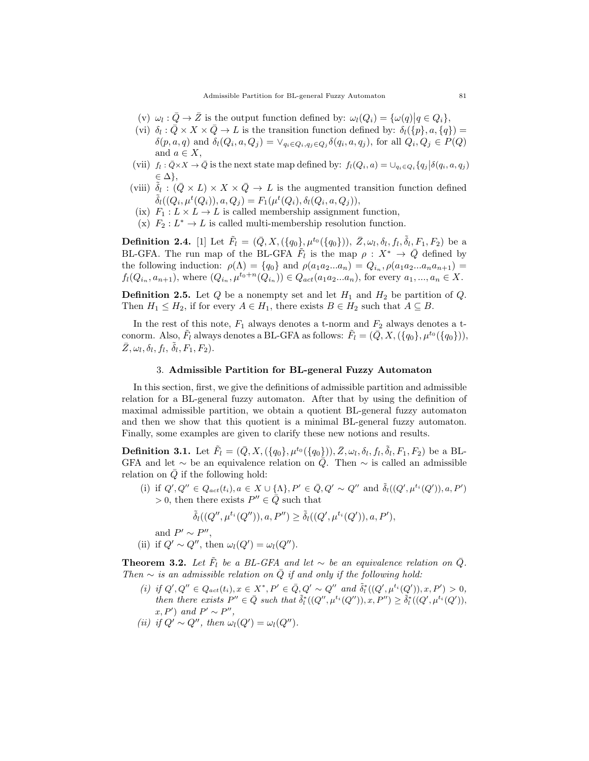Admissible Partition for BL-general Fuzzy Automaton 81

- (v)  $\omega_l : \overline{Q} \to \overline{Z}$  is the output function defined by:  $\omega_l(Q_i) = {\omega(q) | q \in Q_i},$
- (vi)  $\delta_l : \bar{Q} \times X \times \bar{Q} \to L$  is the transition function defined by:  $\delta_l(\{p\}, a, \{q\}) =$  $\delta(p, a, q)$  and  $\delta_l(Q_i, a, Q_j) = \vee_{q_i \in Q_i, q_j \in Q_j} \delta(q_i, a, q_j)$ , for all  $Q_i, Q_j \in P(Q)$ and  $a \in X$ ,
- (vii)  $f_l: \overline{Q} \times X \to \overline{Q}$  is the next state map defined by:  $f_l(Q_i, a) = \bigcup_{q_i \in Q_i} \{q_j | \delta(q_i, a, q_j) \}$  $\in \Delta\},\$
- (viii)  $\tilde{\delta}_l$ :  $(\bar{Q} \times L) \times X \times \bar{Q} \to L$  is the augmented transition function defined  $\tilde{\delta}_l((Q_i, \mu^t(Q_i)), a, Q_j) = F_1(\mu^t(Q_i), \delta_l(Q_i, a, Q_j)),$
- (ix)  $F_1: L \times L \to L$  is called membership assignment function,
- (x)  $F_2: L^* \to L$  is called multi-membership resolution function.

**Definition 2.4.** [1] Let  $\tilde{F}_l = (\bar{Q}, X, (\{q_0\}, \mu^{t_0}(\{q_0\})), \bar{Z}, \omega_l, \delta_l, f_l, \tilde{\delta}_l, F_1, F_2)$  be a BL-GFA. The run map of the BL-GFA  $\tilde{F}_l$  is the map  $\rho : X^* \to \bar{Q}$  defined by the following induction:  $\rho(\Lambda) = \{q_0\}$  and  $\rho(a_1 a_2 ... a_n) = Q_{i_n}, \rho(a_1 a_2 ... a_n a_{n+1}) =$  $f_l(Q_{i_n}, a_{n+1})$ , where  $(Q_{i_n}, \mu^{t_0+n}(Q_{i_n})) \in Q_{act}(a_1 a_2 ... a_n)$ , for every  $a_1, ..., a_n \in X$ .

**Definition 2.5.** Let  $Q$  be a nonempty set and let  $H_1$  and  $H_2$  be partition of  $Q$ . Then  $H_1 \leq H_2$ , if for every  $A \in H_1$ , there exists  $B \in H_2$  such that  $A \subseteq B$ .

In the rest of this note,  $F_1$  always denotes a t-norm and  $F_2$  always denotes a tconorm. Also,  $\tilde{F}_l$  always denotes a BL-GFA as follows:  $\tilde{F}_l = (\bar{Q}, X, (\{q_0\}, \mu^{t_0}(\{q_0\}))),$  $\bar{Z}, \omega_l, \delta_l, f_l, \tilde{\delta}_l, F_1, F_2$ .

# 3. Admissible Partition for BL-general Fuzzy Automaton

In this section, first, we give the definitions of admissible partition and admissible relation for a BL-general fuzzy automaton. After that by using the definition of maximal admissible partition, we obtain a quotient BL-general fuzzy automaton and then we show that this quotient is a minimal BL-general fuzzy automaton. Finally, some examples are given to clarify these new notions and results.

**Definition 3.1.** Let  $\tilde{F}_l = (\bar{Q}, X, (\{q_0\}, \mu^{t_0}(\{q_0\})), \bar{Z}, \omega_l, \delta_l, f_l, \tilde{\delta}_l, F_1, F_2)$  be a BL-GFA and let  $\sim$  be an equivalence relation on  $\tilde{Q}$ . Then  $\sim$  is called an admissible relation on  $\overline{Q}$  if the following hold:

(i) if  $Q', Q'' \in Q_{act}(t_i), a \in X \cup {\{\Lambda\}}, P' \in \overline{Q}, Q' \sim Q''$  and  $\tilde{\delta}_l((Q', \mu^{t_i}(Q')), a, P')$ > 0, then there exists  $P'' \in \overline{Q}$  such that

$$
\tilde{\delta}_l((Q'',\mu^{t_i}(Q'')),a,P'')\geq \tilde{\delta}_l((Q',\mu^{t_i}(Q')),a,P'),
$$

and  $P' \sim P''$ ,

(ii) if 
$$
Q' \sim Q''
$$
, then  $\omega_l(Q') = \omega_l(Q'')$ .

**Theorem 3.2.** Let  $\tilde{F}_l$  be a BL-GFA and let  $\sim$  be an equivalence relation on  $\bar{Q}$ . Then  $\sim$  is an admissible relation on  $\overline{Q}$  if and only if the following hold:

(i) if  $Q', Q'' \in Q_{act}(t_i), x \in X^*, P' \in \overline{Q}, Q' \sim Q''$  and  $\tilde{\delta}_l^*((Q', \mu^{t_i}(Q')), x, P') > 0,$ then there exists  $P'' \in \bar{Q}$  such that  $\tilde{\delta}_l^*((Q'', \mu^{t_i}(Q'')), x, P'') \geq \tilde{\delta}_l^*((Q', \mu^{t_i}(Q')),$  $x, P'$  and  $P' \sim P''$ ,

(ii) if 
$$
Q' \sim Q''
$$
, then  $\omega_l(Q') = \omega_l(Q'')$ .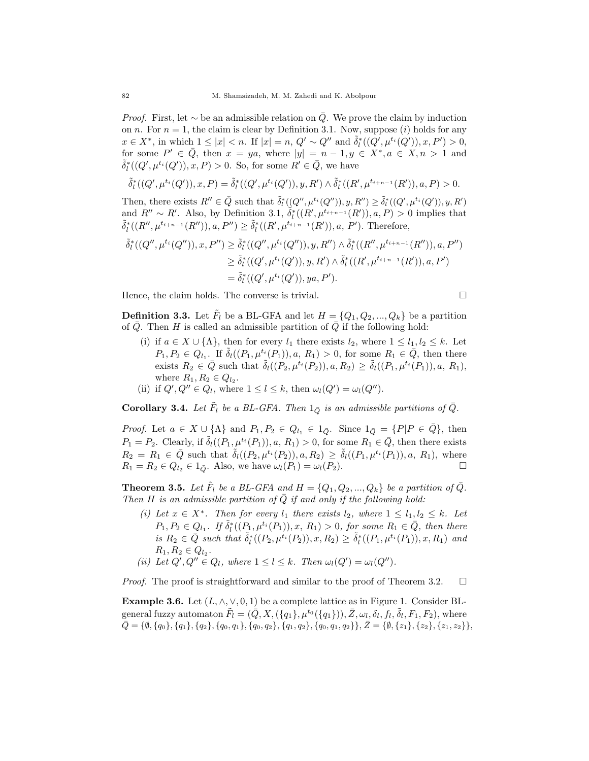*Proof.* First, let  $\sim$  be an admissible relation on Q. We prove the claim by induction on n. For  $n = 1$ , the claim is clear by Definition 3.1. Now, suppose (i) holds for any  $x \in X^*$ , in which  $1 \leq |x| < n$ . If  $|x| = n$ ,  $Q' \sim Q''$  and  $\tilde{\delta}_l^*(Q', \mu^{t_i}(Q')), x, P' > 0$ , for some  $P' \in \overline{Q}$ , then  $x = ya$ , where  $|y| = n - 1, y \in X^*$ ,  $a \in X, n > 1$  and  $\tilde{\delta}_l^*((Q', \mu^{t_i}(Q')), x, P) > 0$ . So, for some  $R' \in \bar{Q}$ , we have

$$
\tilde{\delta}^*_l((Q',\mu^{t_i}(Q')),x,P)=\tilde{\delta}^*_l((Q',\mu^{t_i}(Q')),y,R')\wedge \tilde{\delta}^*_l((R',\mu^{t_{i+n-1}}(R')),a,P)>0.
$$

Then, there exists  $R'' \in \bar{Q}$  such that  $\tilde{\delta}_l^*((Q'', \mu^{t_i}(Q'')), y, R'') \geq \tilde{\delta}_l^*((Q', \mu^{t_i}(Q')), y, R')$ and  $R'' \sim R'$ . Also, by Definition 3.1,  $\tilde{\delta}_l^*((R', \mu^{t_{i+n-1}}(R')), a, P) > 0$  implies that  $\tilde{\delta}^*_l((R'',\mu^{t_{i+n-1}}(R'')),a, P'')\geq \tilde{\delta}^*_l((R',\mu^{t_{i+n-1}}(R')),a, P').$  Therefore,

$$
\begin{aligned}\n\tilde{\delta}_l^*((Q'', \mu^{t_i}(Q'')), x, P'') &\geq \tilde{\delta}_l^*((Q'', \mu^{t_i}(Q'')), y, R'') \wedge \tilde{\delta}_l^*((R'', \mu^{t_{i+n-1}}(R'')), a, P'') \\
&\geq \tilde{\delta}_l^*((Q', \mu^{t_i}(Q')), y, R') \wedge \tilde{\delta}_l^*((R', \mu^{t_{i+n-1}}(R')), a, P') \\
&= \tilde{\delta}_l^*((Q', \mu^{t_i}(Q')), ya, P').\n\end{aligned}
$$

Hence, the claim holds. The converse is trivial.

$$
\Box
$$

**Definition 3.3.** Let  $\tilde{F}_l$  be a BL-GFA and let  $H = \{Q_1, Q_2, ..., Q_k\}$  be a partition of  $\overline{Q}$ . Then H is called an admissible partition of  $\overline{Q}$  if the following hold:

- (i) if  $a \in X \cup \{\Lambda\}$ , then for every  $l_1$  there exists  $l_2$ , where  $1 \leq l_1, l_2 \leq k$ . Let  $P_1, P_2 \in Q_{l_1}$ . If  $\tilde{\delta}_l((P_1, \mu^{t_i}(P_1)), a, R_1) > 0$ , for some  $R_1 \in \overline{Q}$ , then there exists  $R_2 \in \overline{Q}$  such that  $\tilde{\delta}_l((P_2, \mu^{t_i}(P_2)), a, R_2) \geq \tilde{\delta}_l((P_1, \mu^{t_i}(P_1)), a, R_1),$ where  $R_1, R_2 \in Q_{l_2}$ .
- (ii) if  $Q', Q'' \in Q_l$ , where  $1 \leq l \leq k$ , then  $\omega_l(Q') = \omega_l(Q'')$ .

**Corollary 3.4.** Let  $\tilde{F}_l$  be a BL-GFA. Then  $1_{\bar{Q}}$  is an admissible partitions of  $\bar{Q}$ .

*Proof.* Let  $a \in X \cup {\{\Lambda\}}$  and  $P_1, P_2 \in Q_{l_1} \in 1_{\overline{Q}}$ . Since  $1_{\overline{Q}} = {P|P \in \overline{Q}}$ , then  $P_1 = P_2$ . Clearly, if  $\tilde{\delta}_l((P_1, \mu^{t_i}(P_1)), a, R_1) > 0$ , for some  $R_1 \in \overline{Q}$ , then there exists  $R_2 = R_1 \in \bar{Q}$  such that  $\tilde{\delta}_l((P_2, \mu^{t_i}(P_2)), a, R_2) \geq \tilde{\delta}_l((P_1, \mu^{t_i}(P_1)), a, R_1)$ , where  $R_1 = R_2 \in Q_{l_2} \in 1_{\bar{Q}}$ . Also, we have  $\omega_l(P_1) = \omega_l(P_2)$ .

**Theorem 3.5.** Let  $\tilde{F}_l$  be a BL-GFA and  $H = \{Q_1, Q_2, ..., Q_k\}$  be a partition of  $\bar{Q}$ . Then H is an admissible partition of Q if and only if the following hold:

- (i) Let  $x \in X^*$ . Then for every  $l_1$  there exists  $l_2$ , where  $1 \leq l_1, l_2 \leq k$ . Let  $P_1, P_2 \in Q_{l_1}$ . If  $\tilde{\delta}_l^*((P_1, \mu^{t_i}(P_1)), x, R_1) > 0$ , for some  $R_1 \in \bar{Q}$ , then there is  $R_2 \in \bar{Q}$  such that  $\tilde{\delta}_l^*((P_2, \mu^{t_i}(P_2)), x, R_2) \geq \tilde{\delta}_l^*((P_1, \mu^{t_i}(P_1)), x, R_1)$  and  $R_1, R_2 \in Q_{l_2}.$
- (ii) Let  $Q', Q'' \in Q_l$ , where  $1 \leq l \leq k$ . Then  $\omega_l(Q') = \omega_l(Q'')$ .

*Proof.* The proof is straightforward and similar to the proof of Theorem 3.2.  $\Box$ 

Example 3.6. Let  $(L, \wedge, \vee, 0, 1)$  be a complete lattice as in Figure 1. Consider BLgeneral fuzzy automaton  $\tilde{F}_l = (\bar{Q}, X, (\{q_1\}, \mu^{t_0}(\{q_1\})), \bar{Z}, \omega_l, \delta_l, f_l, \tilde{\delta}_l, F_1, F_2),$  where  $\overline{Q} = {\emptyset, \{q_0\}, \{q_1\}, \{q_2\}, \{q_0, q_1\}, \{q_0, q_2\}, \{q_1, q_2\}, \{q_0, q_1, q_2\}\}, \overline{Z} = {\emptyset, \{z_1\}, \{z_2\}, \{z_1, z_2\}\},$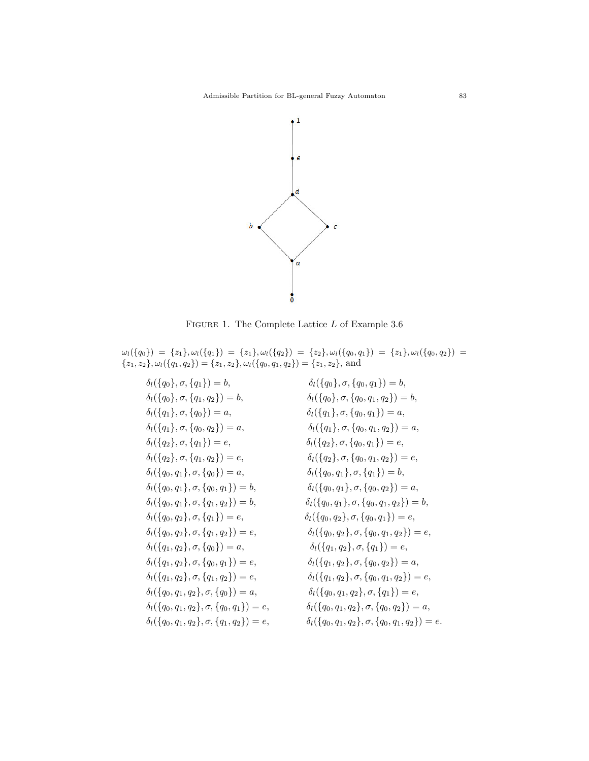

FIGURE 1. The Complete Lattice  $L$  of Example 3.6

 $\omega_l(\{q_0\})\ =\ \{z_1\}, \omega_l(\{q_1\})\ =\ \{z_1\}, \omega_l(\{q_2\})\ =\ \{z_2\}, \omega_l(\{q_0, q_1\})\ =\ \{z_1\}, \omega_l(\{q_0, q_2\})\ =$  $\{z_1, z_2\}, \omega_l(\{q_1, q_2\}) = \{z_1, z_2\}, \omega_l(\{q_0, q_1, q_2\}) = \{z_1, z_2\}, \text{ and}$ 

$$
\delta_{l}(\{q_{0}\}, \sigma, \{q_{1}\}) = b, \qquad \delta_{l}(\{q_{0}\}, \sigma, \{q_{0}, q_{1}\}) = b, \qquad \delta_{l}(\{q_{0}\}, \sigma, \{q_{0}, q_{1}\}) = b, \qquad \delta_{l}(\{q_{0}\}, \sigma, \{q_{0}, q_{1}\}) = b, \qquad \delta_{l}(\{q_{1}\}, \sigma, \{q_{0}\}) = a, \qquad \delta_{l}(\{q_{1}\}, \sigma, \{q_{0}, q_{2}\}) = a, \qquad \delta_{l}(\{q_{1}\}, \sigma, \{q_{0}, q_{1}\}) = a, \qquad \delta_{l}(\{q_{1}\}, \sigma, \{q_{0}, q_{1}\}) = a, \qquad \delta_{l}(\{q_{1}\}, \sigma, \{q_{0}, q_{1}\}) = e, \qquad \delta_{l}(\{q_{2}\}, \sigma, \{q_{1}\}, \sigma, \{q_{0}\}) = a, \qquad \delta_{l}(\{q_{2}\}, \sigma, \{q_{0}, q_{1}\}) = e, \qquad \delta_{l}(\{q_{2}\}, \sigma, \{q_{0}, q_{1}\}) = e, \qquad \delta_{l}(\{q_{0}, q_{1}\}, \sigma, \{q_{0}\}) = a, \qquad \delta_{l}(\{q_{0}, q_{1}\}, \sigma, \{q_{0}, q_{1}\}) = b, \qquad \delta_{l}(\{q_{0}, q_{1}\}, \sigma, \{q_{0}, q_{2}\}) = a, \qquad \delta_{l}(\{q_{0}, q_{1}\}, \sigma, \{q_{0}, q_{2}\}) = a, \qquad \delta_{l}(\{q_{0}, q_{1}\}, \sigma, \{q_{0}, q_{2}\}) = a, \qquad \delta_{l}(\{q_{0}, q_{1}\}, \sigma, \{q_{0}, q_{2}\}) = a, \qquad \delta_{l}(\{q_{0}, q_{2}\}, \sigma, \{q_{1}\}) = e, \qquad \delta_{l}(\{q_{0}, q_{2}\}, \sigma, \{q_{1}\}) = e, \qquad \delta_{l}(\{q_{0}, q_{2}\}, \sigma, \{q_{1}\}) = e, \qquad \delta_{l}(\{q_{0}, q_{2}\}, \sigma, \{q_{1}\}) = e, \qquad \delta_{l}(\{q_{1}, q_{2}\}, \sigma, \{q_{0}\}) = a, \qquad \delta_{l}(\
$$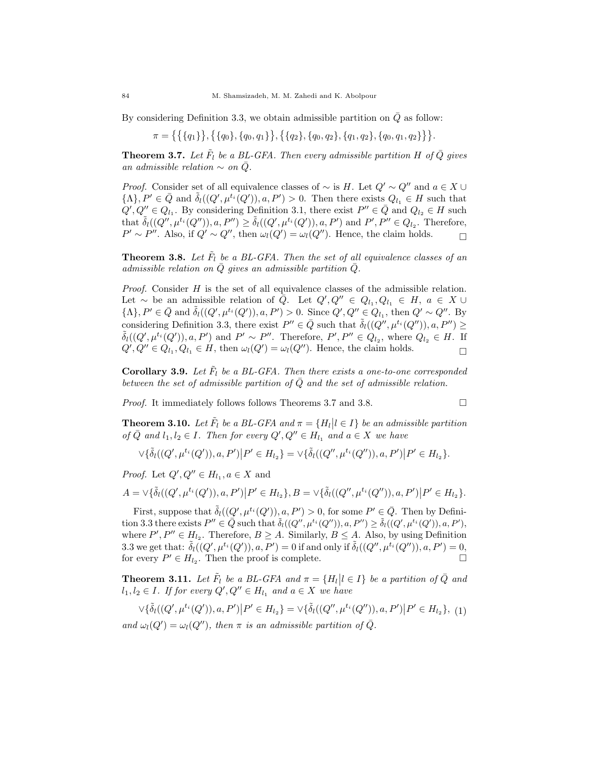By considering Definition 3.3, we obtain admissible partition on  $\overline{Q}$  as follow:

 $\pi = \{\{\{q_1\}\}, \{\{q_0\}, \{q_0, q_1\}\}, \{\{q_2\}, \{q_0, q_2\}, \{q_1, q_2\}, \{q_0, q_1, q_2\}\}\}.$ 

**Theorem 3.7.** Let  $\tilde{F}_l$  be a BL-GFA. Then every admissible partition H of  $\bar{Q}$  gives an admissible relation  $\sim$  on  $\overline{Q}$ .

*Proof.* Consider set of all equivalence classes of  $\sim$  is H. Let  $Q' \sim Q''$  and  $a \in X \cup Y$  $\{\Lambda\}, P' \in \bar{Q}$  and  $\tilde{\delta}_l((Q', \mu^{t_i}(Q')), a, P') > 0$ . Then there exists  $Q_{l_1} \in H$  such that  $Q', Q'' \in Q_{l_1}$ . By considering Definition 3.1, there exist  $P'' \in \bar{Q}$  and  $Q_{l_2} \in H$  such that  $\tilde{\delta}_l((Q'',\mu^{t_i}(Q'')), a, P'') \geq \tilde{\delta}_l((Q',\mu^{t_i}(Q')), a, P')$  and  $P', P'' \in Q_{l_2}$ . Therefore,  $P' \sim P''$ . Also, if  $Q' \sim Q''$ , then  $\omega_l(Q') = \omega_l(Q'')$ . Hence, the claim holds.

**Theorem 3.8.** Let  $\tilde{F}_l$  be a BL-GFA. Then the set of all equivalence classes of an admissible relation on  $\overline{Q}$  gives an admissible partition  $\overline{Q}$ .

Proof. Consider H is the set of all equivalence classes of the admissible relation. Let ~ be an admissible relation of  $\overline{Q}$ . Let  $Q', Q'' \in Q_{l_1}, Q_{l_1} \in H$ ,  $a \in X \cup$  $\{\Lambda\}, P' \in \bar{Q} \text{ and } \tilde{\delta}_l((Q', \mu^{t_i}(Q')), a, P') > 0.$  Since  $Q', Q'' \in Q_{l_1}$ , then  $Q' \sim Q''.$  By considering Definition 3.3, there exist  $P'' \in \bar{Q}$  such that  $\tilde{\delta}_l((Q'', \mu^{t_i}(Q'')), a, P'') \geq$  $\tilde{\delta}_l((Q',\mu^{t_i}(Q')),$ ,  $P')$  and  $P' \sim P''$ . Therefore,  $P',P'' \in Q_{l_2}$ , where  $Q_{l_2} \in H$ . If  $Q', Q'' \in Q_{l_1}, Q_{l_1} \in H$ , then  $\omega_l(Q') = \omega_l(Q'')$ . Hence, the claim holds.

Corollary 3.9. Let  $\tilde{F}_l$  be a BL-GFA. Then there exists a one-to-one corresponded between the set of admissible partition of  $\overline{Q}$  and the set of admissible relation.

*Proof.* It immediately follows follows Theorems 3.7 and 3.8.

$$
\overline{a}
$$

**Theorem 3.10.** Let  $\tilde{F}_l$  be a BL-GFA and  $\pi = \{H_l | l \in I\}$  be an admissible partition of  $\overline{Q}$  and  $l_1, l_2 \in I$ . Then for every  $Q', Q'' \in H_{l_1}$  and  $a \in X$  we have

$$
\vee \{ \tilde{\delta}_l((Q',\mu^{t_i}(Q')),a,P') \big| P' \in H_{l_2} \} = \vee \{ \tilde{\delta}_l((Q'',\mu^{t_i}(Q'')),a,P') \big| P' \in H_{l_2} \}.
$$

*Proof.* Let  $Q', Q'' \in H_{l_1}, a \in X$  and

$$
A = \vee \{ \tilde{\delta}_l((Q', \mu^{t_i}(Q')), a, P') \big| P' \in H_{l_2} \}, B = \vee \{ \tilde{\delta}_l((Q'', \mu^{t_i}(Q'')), a, P') \big| P' \in H_{l_2} \}.
$$

First, suppose that  $\tilde{\delta}_l((Q', \mu^{t_i}(Q')), a, P') > 0$ , for some  $P' \in \bar{Q}$ . Then by Definition 3.3 there exists  $P'' \in \overline{Q}$  such that  $\tilde{\delta}_l((Q'', \mu^{t_i}(Q'')), a, P'') \geq \tilde{\delta}_l((Q', \mu^{t_i}(Q')), a, P'),$ where  $P', P'' \in H_{l_2}$ . Therefore,  $B \geq A$ . Similarly,  $B \leq A$ . Also, by using Definition 3.3 we get that:  $\tilde{\delta}_l((Q', \mu^{t_i}(Q')), a, P') = 0$  if and only if  $\tilde{\delta}_l((Q'', \mu^{t_i}(Q'')), a, P') = 0$ , for every  $P' \in H_{l_2}$ . Then the proof is complete.

**Theorem 3.11.** Let  $\tilde{F}_l$  be a BL-GFA and  $\pi = \{H_l | l \in I\}$  be a partition of  $\bar{Q}$  and  $l_1, l_2 \in I$ . If for every  $Q', Q'' \in H_{l_1}$  and  $a \in X$  we have

$$
\forall \{\tilde{\delta}_{l}((Q',\mu^{t_i}(Q')),a,P')\big|P'\in H_{l_2}\}=\forall \{\tilde{\delta}_{l}((Q'',\mu^{t_i}(Q'')),a,P')\big|P'\in H_{l_2}\},\ (1)
$$

and  $\omega_l(Q') = \omega_l(Q'')$ , then  $\pi$  is an admissible partition of  $\overline{Q}$ .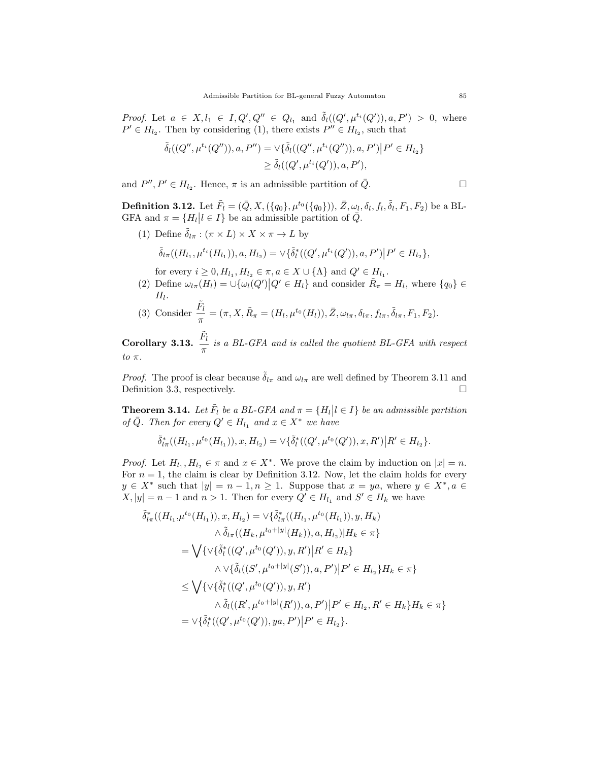*Proof.* Let  $a \in X, l_1 \in I, Q', Q'' \in Q_{l_1}$  and  $\tilde{\delta}_l((Q', \mu^{t_i}(Q')), a, P') > 0$ , where  $P' \in H_{l_2}$ . Then by considering (1), there exists  $P'' \in H_{l_2}$ , such that

$$
\begin{aligned} \tilde{\delta}_l((Q'',\mu^{t_i}(Q'')),a, P'') &= \vee \{ \tilde{\delta}_l((Q'',\mu^{t_i}(Q'')),a, P') \big| P' \in H_{l_2} \} \\ &\geq \tilde{\delta}_l((Q',\mu^{t_i}(Q')),a, P'), \end{aligned}
$$

and  $P'', P' \in H_{l_2}$ . Hence,  $\pi$  is an admissible partition of  $\overline{Q}$ .

**Definition 3.12.** Let  $\tilde{F}_{l}=(\bar{Q},X,(\{q_{0}\},\mu^{t_{0}}(\{q_{0}\})),\bar{Z},\omega_{l},\delta_{l},f_{l},\tilde{\delta}_{l},F_{1},F_{2})$  be a BL-GFA and  $\pi = \{H_l | l \in I\}$  be an admissible partition of  $\overline{Q}$ .

(1) Define  $\tilde{\delta}_{l\pi} : (\pi \times L) \times X \times \pi \to L$  by

$$
\tilde{\delta}_{l\pi}((H_{l_1},\mu^{t_i}(H_{l_1})),a,H_{l_2})=\vee \{\tilde{\delta}_l^*((Q',\mu^{t_i}(Q')),a,P')\big|P'\in H_{l_2}\},\
$$

- for every  $i \geq 0$ ,  $H_{l_1}$ ,  $H_{l_2} \in \pi$ ,  $a \in X \cup {\{\Lambda\}}$  and  $Q' \in H_{l_1}$ .
- (2) Define  $\omega_{l\pi}(H_l) = \cup \{\omega_l(Q') | Q' \in H_l\}$  and consider  $\tilde{R}_{\pi} = H_l$ , where  $\{q_0\} \in$  $H_l$ .
- (3) Consider  $\frac{\tilde{F}_l}{\tilde{F}_l}$  $\frac{F_l}{\pi} = (\pi, X, \tilde{R}_{\pi} = (H_l, \mu^{t_0}(H_l)), \bar{Z}, \omega_{l\pi}, \delta_{l\pi}, f_{l\pi}, \tilde{\delta}_{l\pi}, F_1, F_2).$

Corollary 3.13.  $\frac{\tilde{F}_{l}}{2}$  $\frac{\partial u}{\partial \pi}$  is a BL-GFA and is called the quotient BL-GFA with respect to  $\pi$ .

*Proof.* The proof is clear because  $\tilde{\delta}_{l\pi}$  and  $\omega_{l\pi}$  are well defined by Theorem 3.11 and Definition 3.3, respectively.

**Theorem 3.14.** Let  $\tilde{F}_l$  be a BL-GFA and  $\pi = \{H_l | l \in I\}$  be an admissible partition of  $\overline{Q}$ . Then for every  $Q' \in H_{l_1}$  and  $x \in X^*$  we have

$$
\tilde{\delta}^*_{l\pi}((H_{l_1},\mu^{t_0}(H_{l_1})),x,H_{l_2})=\vee \{\tilde{\delta}^*_l((Q',\mu^{t_0}(Q')),x,R')\big| R'\in H_{l_2}\}.
$$

*Proof.* Let  $H_{l_1}, H_{l_2} \in \pi$  and  $x \in X^*$ . We prove the claim by induction on  $|x| = n$ . For  $n = 1$ , the claim is clear by Definition 3.12. Now, let the claim holds for every  $y \in X^*$  such that  $|y| = n - 1, n \ge 1$ . Suppose that  $x = ya$ , where  $y \in X^*$ ,  $a \in$  $X, |y| = n - 1$  and  $n > 1$ . Then for every  $Q' \in H_{l_1}$  and  $S' \in H_k$  we have

$$
\tilde{\delta}_{l\pi}^{*}((H_{l_{1}},\mu^{t_{0}}(H_{l_{1}})),x,H_{l_{2}}) = \vee \{\tilde{\delta}_{l\pi}^{*}((H_{l_{1}},\mu^{t_{0}}(H_{l_{1}})),y,H_{k})
$$
\n
$$
\wedge \tilde{\delta}_{l\pi}((H_{k},\mu^{t_{0}+|y|}(H_{k})),a,H_{l_{2}})|H_{k} \in \pi\}
$$
\n
$$
= \bigvee \{\vee \{\tilde{\delta}_{l}^{*}((Q',\mu^{t_{0}}(Q')),y,R')|R' \in H_{k}\}
$$
\n
$$
\wedge \vee \{\tilde{\delta}_{l}((S',\mu^{t_{0}+|y|}(S')),a,P')|P' \in H_{l_{2}}\}H_{k} \in \pi\}
$$
\n
$$
\leq \bigvee \{\vee \{\tilde{\delta}_{l}^{*}((Q',\mu^{t_{0}}(Q')),y,R')|P' \in H_{l_{2}}\}H_{k} \in \pi\}
$$
\n
$$
\wedge \tilde{\delta}_{l}((R',\mu^{t_{0}+|y|}(R')),a,P')|P' \in H_{l_{2}},R' \in H_{k}\}H_{k} \in \pi\}
$$
\n
$$
= \vee \{\tilde{\delta}_{l}^{*}((Q',\mu^{t_{0}}(Q')),ya,P')|P' \in H_{l_{2}}\}.
$$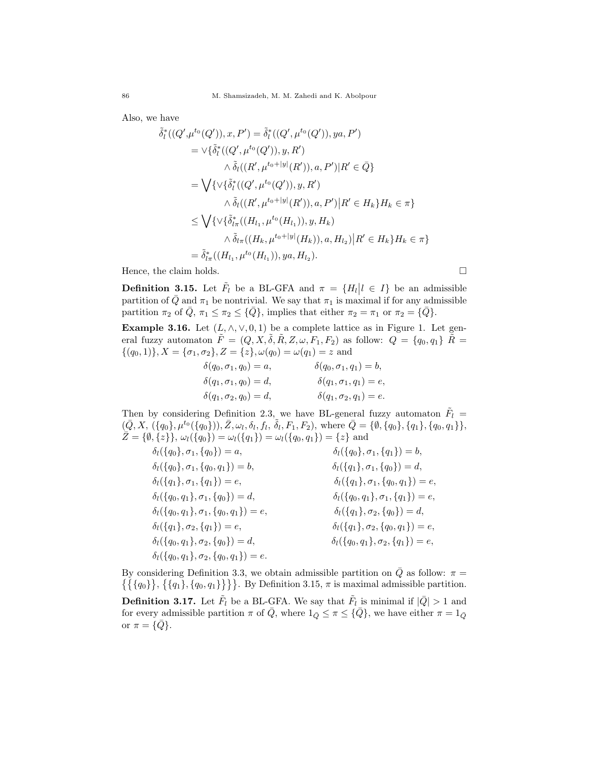Also, we have

$$
\tilde{\delta}_{l}^{*}((Q',\mu^{t_{0}}(Q')),x,P') = \tilde{\delta}_{l}^{*}((Q',\mu^{t_{0}}(Q')),ya,P')
$$
\n
$$
= \vee \{\tilde{\delta}_{l}^{*}((Q',\mu^{t_{0}}(Q')),y,R')
$$
\n
$$
\wedge \tilde{\delta}_{l}((R',\mu^{t_{0}+|y|}(R')),a,P')|R' \in \bar{Q}\}
$$
\n
$$
= \bigvee \{\vee \{\tilde{\delta}_{l}^{*}((Q',\mu^{t_{0}}(Q')),y,R')
$$
\n
$$
\wedge \tilde{\delta}_{l}((R',\mu^{t_{0}+|y|}(R')),a,P')|R' \in H_{k}\}H_{k} \in \pi\}
$$
\n
$$
\leq \bigvee \{\vee \{\tilde{\delta}_{l\pi}^{*}((H_{l_{1}},\mu^{t_{0}}(H_{l_{1}})),y,H_{k})
$$
\n
$$
\wedge \tilde{\delta}_{l\pi}((H_{k},\mu^{t_{0}+|y|}(H_{k})),a,H_{l_{2}})|R' \in H_{k}\}H_{k} \in \pi\}
$$
\n
$$
= \tilde{\delta}_{l\pi}^{*}((H_{l_{1}},\mu^{t_{0}}(H_{l_{1}})),ya,H_{l_{2}}).
$$

Hence, the claim holds.  $\square$ 

**Definition 3.15.** Let  $\tilde{F}_l$  be a BL-GFA and  $\pi = \{H_l | l \in I\}$  be an admissible partition of  $\overline{Q}$  and  $\pi_1$  be nontrivial. We say that  $\pi_1$  is maximal if for any admissible partition  $\pi_2$  of  $\overline{Q}$ ,  $\pi_1 \leq \pi_2 \leq {\overline{Q}}$ , implies that either  $\pi_2 = \pi_1$  or  $\pi_2 = {\overline{Q}}$ .

Example 3.16. Let  $(L, \wedge, \vee, 0, 1)$  be a complete lattice as in Figure 1. Let general fuzzy automaton  $\tilde{F} = (Q, X, \tilde{\delta}, \tilde{R}, Z, \omega, F_1, F_2)$  as follow:  $Q = \{q_0, q_1\} \tilde{R} =$  $\{(q_0, 1)\}, X = {\sigma_1, \sigma_2}, Z = {z}, \omega(q_0) = \omega(q_1) = z$  and

$$
\delta(q_0, \sigma_1, q_0) = a, \qquad \delta(q_0, \sigma_1, q_1) = b, \n\delta(q_1, \sigma_1, q_0) = d, \qquad \delta(q_1, \sigma_2, q_1) = e, \n\delta(q_1, \sigma_2, q_1) = e.
$$

Then by considering Definition 2.3, we have BL-general fuzzy automaton  $\tilde{F}_l$  =  $(\bar{Q}, X, (\{q_0\}, \mu^{t_0}(\{q_0\})), \bar{Z}, \omega_l, \delta_l, f_l, \tilde{\delta}_l, F_1, F_2), \text{ where } \bar{Q} = {\emptyset}, \{q_0\}, \{q_1\}, \{q_0, q_1\}\},$  $\bar{Z} = \{\emptyset, \{z\}\}, \omega_l(\{q_0\}) = \omega_l(\{q_1\}) = \omega_l(\{q_0, q_1\}) = \{z\}$  and

$$
\delta_l(\{q_0\}, \sigma_1, \{q_0\}) = a, \n\delta_l(\{q_0\}, \sigma_1, \{q_0, q_1\}) = b, \n\delta_l(\{q_0\}, \sigma_1, \{q_1\}) = b, \n\delta_l(\{q_1\}, \sigma_1, \{q_1\}) = e, \n\delta_l(\{q_1\}, \sigma_1, \{q_0\}) = d, \n\delta_l(\{q_0, q_1\}, \sigma_1, \{q_0\}) = d, \n\delta_l(\{q_0, q_1\}, \sigma_1, \{q_0, q_1\}) = e, \n\delta_l(\{q_0, q_1\}, \sigma_2, \{q_1\}) = e, \n\delta_l(\{q_1\}, \sigma_2, \{q_0\}) = d, \n\delta_l(\{q_1\}, \sigma_2, \{q_0\}) = d, \n\delta_l(\{q_1\}, \sigma_2, \{q_0\}) = d, \n\delta_l(\{q_1\}, \sigma_2, \{q_0, q_1\}) = e, \n\delta_l(\{q_0, q_1\}, \sigma_2, \{q_0\}) = d, \n\delta_l(\{q_0, q_1\}, \sigma_2, \{q_1\}) = e, \n\delta_l(\{q_0, q_1\}, \sigma_2, \{q_1\}) = e, \n\delta_l(\{q_0, q_1\}, \sigma_2, \{q_1\}) = e, \n\delta_l(\{q_0, q_1\}, \sigma_2, \{q_1\}) = e, \n\delta_l(\{q_0, q_1\}, \sigma_2, \{q_1\}) = e, \n\delta_l(\{q_0, q_1\}, \sigma_2, \{q_1\}) = e, \n\delta_l(\{q_0, q_1\}, \sigma_2, \{q_1\}) = e, \n\delta_l(\{q_0, q_1\}, \sigma_2, \{q_1\}) = e, \n\delta_l(\{q_0, q_1\}, \sigma_2, \{q_1\}) = e, \n\delta_l(\{q_0, q_1\}, \sigma_2, \{q_1\}) = e, \n\delta_l(\{q_0, q_1\}, \sigma_2, \{q_1\
$$

By considering Definition 3.3, we obtain admissible partition on  $\overline{Q}$  as follow:  $\pi =$  $\{\{\{q_0\}\},\{\{q_1\},\{q_0,q_1\}\}\}\$ . By Definition 3.15,  $\pi$  is maximal admissible partition.

**Definition 3.17.** Let  $\tilde{F}_l$  be a BL-GFA. We say that  $\tilde{F}_l$  is minimal if  $|\bar{Q}| > 1$  and for every admissible partition  $\pi$  of  $\overline{Q}$ , where  $1_{\overline{Q}} \leq \pi \leq {\overline{Q}}$ , we have either  $\pi = 1_{\overline{Q}}$ or  $\pi = {\overline{Q}}$ .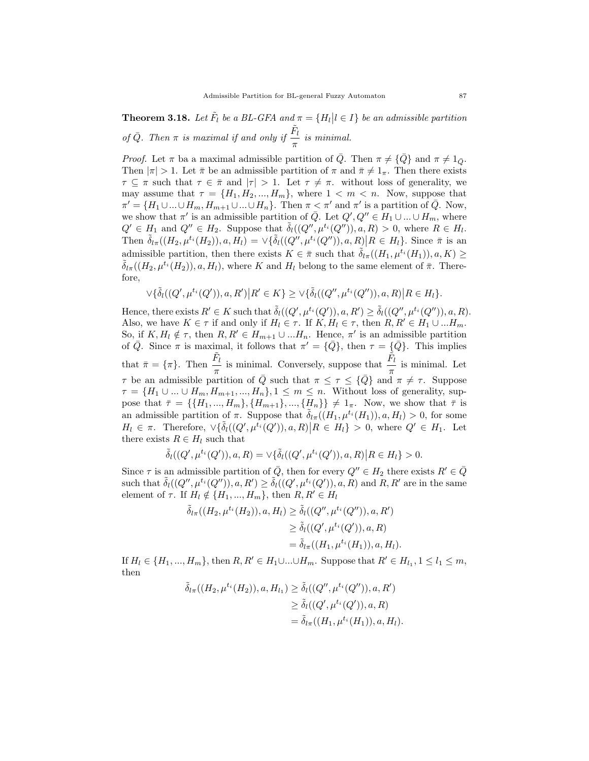**Theorem 3.18.** Let  $\tilde{F}_l$  be a BL-GFA and  $\pi = \{H_l | l \in I\}$  be an admissible partition of  $\bar{Q}$ . Then  $\pi$  is maximal if and only if  $\frac{\tilde{F}_{l}}{l}$  $\frac{1}{\pi}$  is minimal.

*Proof.* Let  $\pi$  ba a maximal admissible partition of Q. Then  $\pi \neq \{Q\}$  and  $\pi \neq 1_{\tilde{Q}}$ . Then  $|\pi| > 1$ . Let  $\bar{\pi}$  be an admissible partition of  $\pi$  and  $\bar{\pi} \neq 1_{\pi}$ . Then there exists  $\tau \subseteq \pi$  such that  $\tau \in \bar{\pi}$  and  $|\tau| > 1$ . Let  $\tau \neq \pi$ . without loss of generality, we may assume that  $\tau = \{H_1, H_2, ..., H_m\}$ , where  $1 < m < n$ . Now, suppose that  $\pi' = \{H_1 \cup ... \cup H_m, H_{m+1} \cup ... \cup H_n\}.$  Then  $\pi < \pi'$  and  $\pi'$  is a partition of  $\overline{Q}$ . Now, we show that  $\pi'$  is an admissible partition of  $\overline{Q}$ . Let  $Q', Q'' \in H_1 \cup ... \cup H_m$ , where  $Q' \in H_1$  and  $Q'' \in H_2$ . Suppose that  $\tilde{\delta}_l((Q'',\mu^{t_i}(Q'')), a, R) > 0$ , where  $R \in H_l$ . Then  $\tilde{\delta}_{l\pi}((H_2,\mu^{t_i}(H_2)),a,H_l) = \vee {\tilde{\delta}_l((Q'',\mu^{t_i}(Q'')),a,R)}R \in H_l$ . Since  $\bar{\pi}$  is an admissible partition, then there exists  $K \in \bar{\pi}$  such that  $\tilde{\delta}_{l\pi}((H_1, \mu^{t_i}(H_1)), a, K) \geq$  $\delta_{l\pi}((H_2,\mu^{t_i}(H_2)),a,H_l)$ , where K and  $H_l$  belong to the same element of  $\bar{\pi}$ . Therefore,

$$
\forall \{\tilde{\delta}_{l}((Q',\mu^{t_i}(Q')), a, R') | R' \in K\} \geq \forall \{\tilde{\delta}_{l}((Q'',\mu^{t_i}(Q'')), a, R) | R \in H_l\}.
$$

Hence, there exists  $R' \in K$  such that  $\tilde{\delta}_l((Q', \mu^{t_i}(Q')), a, R') \geq \tilde{\delta}_l((Q'', \mu^{t_i}(Q'')), a, R).$ Also, we have  $K \in \tau$  if and only if  $H_l \in \tau$ . If  $K, H_l \in \tau$ , then  $R, R' \in H_1 \cup ... H_m$ . So, if  $K, H_l \notin \tau$ , then  $R, R' \in H_{m+1} \cup ... H_n$ . Hence,  $\pi'$  is an admissible partition of  $\overline{Q}$ . Since  $\pi$  is maximal, it follows that  $\pi' = {\overline{Q}}$ , then  $\tau = {\overline{Q}}$ . This implies that  $\bar{\pi} = {\pi}$ . Then  $\frac{\tilde{F}_{l}}{l}$  $\frac{\tilde{F}_l}{\pi}$  is minimal. Conversely, suppose that  $\frac{\tilde{F}_l}{\pi}$  $\frac{\tau}{\pi}$  is minimal. Let  $\tau$  be an admissible partition of  $\bar{Q}$  such that  $\pi \leq \tau \leq \{\bar{Q}\}\$  and  $\pi \neq \tau$ . Suppose  $\tau = \{H_1 \cup ... \cup H_m, H_{m+1}, ..., H_n\}, 1 \leq m \leq n$ . Without loss of generality, suppose that  $\bar{\tau} = \{\{H_1, ..., H_m\}, \{H_{m+1}\}, ..., \{H_n\}\}\neq 1_{\pi}$ . Now, we show that  $\bar{\tau}$  is an admissible partition of  $\pi$ . Suppose that  $\tilde{\delta}_{l\pi}((H_1, \mu^{t_i}(H_1)), a, H_l) > 0$ , for some  $H_l \in \pi$ . Therefore,  $\forall \{\tilde{\delta}_l((Q',\mu^{t_i}(Q')), a, R) | R \in H_l\} > 0$ , where  $Q' \in H_1$ . Let there exists  $R \in H_l$  such that

$$
\tilde{\delta}_l((Q',\mu^{t_i}(Q')),a,R) = \vee \{ \tilde{\delta}_l((Q',\mu^{t_i}(Q')),a,R) | R \in H_l \} > 0.
$$

Since  $\tau$  is an admissible partition of  $\overline{Q}$ , then for every  $Q'' \in H_2$  there exists  $R' \in \overline{Q}$ such that  $\tilde{\delta}_l((Q'', \mu^{t_i}(Q'')), a, R') \geq \tilde{\delta}_l((Q', \mu^{t_i}(Q')), a, R)$  and  $R, R'$  are in the same element of  $\tau$ . If  $H_l \notin \{H_1, ..., H_m\}$ , then  $R, R' \in H_l$ 

$$
\tilde{\delta}_{l\pi}((H_2, \mu^{t_i}(H_2)), a, H_l) \ge \tilde{\delta}_l((Q'', \mu^{t_i}(Q'')), a, R')\ge \tilde{\delta}_l((Q', \mu^{t_i}(Q')), a, R)= \tilde{\delta}_{l\pi}((H_1, \mu^{t_i}(H_1)), a, H_l).
$$

If  $H_l \in \{H_1, ..., H_m\}$ , then  $R, R' \in H_1 \cup ... \cup H_m$ . Suppose that  $R' \in H_{l_1}, 1 \leq l_1 \leq m$ , then

$$
\tilde{\delta}_{l\pi}((H_2, \mu^{t_i}(H_2)), a, H_{l_1}) \ge \tilde{\delta}_l((Q'', \mu^{t_i}(Q'')), a, R')
$$
  
\n
$$
\ge \tilde{\delta}_l((Q', \mu^{t_i}(Q')), a, R)
$$
  
\n
$$
= \tilde{\delta}_{l\pi}((H_1, \mu^{t_i}(H_1)), a, H_l).
$$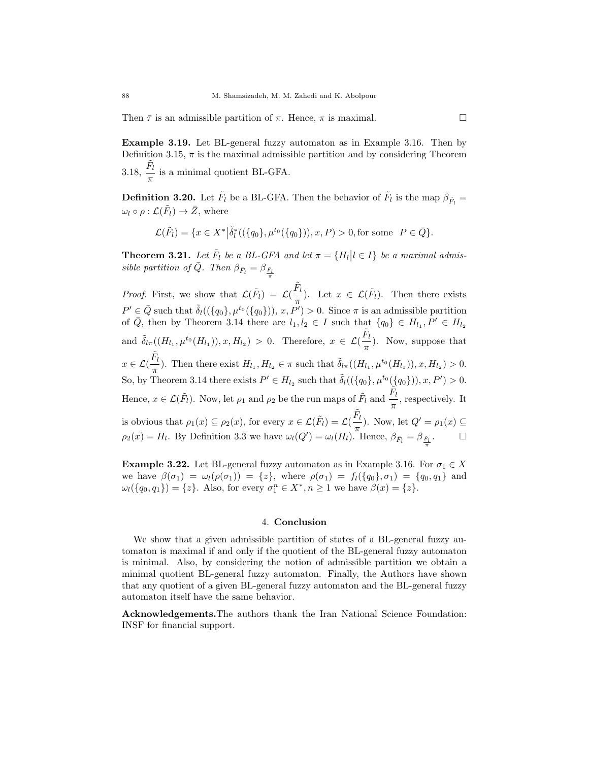Then  $\bar{\tau}$  is an admissible partition of  $\pi$ . Hence,  $\pi$  is maximal.

Example 3.19. Let BL-general fuzzy automaton as in Example 3.16. Then by Definition 3.15,  $\pi$  is the maximal admissible partition and by considering Theorem  $3.18,\, \frac{\tilde{F}_l}{\,}$  $\frac{\tau}{\pi}$  is a minimal quotient BL-GFA.

**Definition 3.20.** Let  $\tilde{F}_l$  be a BL-GFA. Then the behavior of  $\tilde{F}_l$  is the map  $\beta_{\tilde{F}_l} =$  $\omega_l \circ \rho : \mathcal{L}(\tilde{F}_l) \to \bar{Z}$ , where

$$
\mathcal{L}(\tilde{F}_l) = \{ x \in X^* | \tilde{\delta}_l^*((\{q_0\}, \mu^{t_0}(\{q_0\})), x, P) > 0, \text{for some } P \in \bar{Q} \}.
$$

**Theorem 3.21.** Let  $\tilde{F}_l$  be a BL-GFA and let  $\pi = \{H_l | l \in I\}$  be a maximal admissible partition of  $\overline{Q}$ . Then  $\beta_{\tilde{F}_l} = \beta_{\frac{\tilde{F}_l}{}}$ π

*Proof.* First, we show that  $\mathcal{L}(\tilde{F}_l) = \mathcal{L}(\frac{\tilde{F}_l}{r})$  $\frac{r_l}{\pi}$ ). Let  $x \in \mathcal{L}(\tilde{F}_l)$ . Then there exists  $P' \in \bar{Q}$  such that  $\tilde{\delta}_l((\{q_0\}, \mu^{t_0}(\{q_0\})), x, P') > 0$ . Since  $\pi$  is an admissible partition of  $\overline{Q}$ , then by Theorem 3.14 there are  $l_1, l_2 \in I$  such that  $\{q_0\} \in H_{l_1}, P' \in H_{l_2}$ and  $\tilde{\delta}_{l\pi}((H_{l_1}, \mu^{t_0}(H_{l_1})), x, H_{l_2}) > 0$ . Therefore,  $x \in \mathcal{L}(\frac{\tilde{F}_{l}}{\pi})$  $\frac{\mathbf{r}_l}{\pi}$ ). Now, suppose that  $x\in {\cal L}(\frac{\tilde{F}_l}{\sigma}$  $\frac{F_l}{\pi}$ ). Then there exist  $H_{l_1}, H_{l_2} \in \pi$  such that  $\tilde{\delta}_{l\pi}((H_{l_1}, \mu^{t_0}(H_{l_1})), x, H_{l_2}) > 0$ . So, by Theorem 3.14 there exists  $P' \in H_{l_2}$  such that  $\tilde{\delta}_l((\{q_0\}, \mu^{t_0}(\{q_0\})), x, P') > 0$ . Hence,  $x \in \mathcal{L}(\tilde{F}_l)$ . Now, let  $\rho_1$  and  $\rho_2$  be the run maps of  $\tilde{F}_l$  and  $\frac{\tilde{F}_l}{r}$  $\frac{\tau_i}{\pi}$ , respectively. It is obvious that  $\rho_1(x) \subseteq \rho_2(x)$ , for every  $x \in \mathcal{L}(\tilde{F}_l) = \mathcal{L}(\frac{\tilde{F}_l}{\ldots})$  $\frac{\Gamma_l}{\pi}$ ). Now, let  $Q' = \rho_1(x) \subseteq$  $\rho_2(x) = H_l$ . By Definition 3.3 we have  $\omega_l(Q') = \omega_l(H_l)$ . Hence,  $\beta_{\tilde{F}_l} = \beta_{\frac{\tilde{F}_l}{\pi}}$ .

**Example 3.22.** Let BL-general fuzzy automaton as in Example 3.16. For  $\sigma_1 \in X$ we have  $\beta(\sigma_1) = \omega_l(\rho(\sigma_1)) = \{z\}$ , where  $\rho(\sigma_1) = f_l(\{q_0\}, \sigma_1) = \{q_0, q_1\}$  and  $\omega_l(\lbrace q_0, q_1 \rbrace) = \lbrace z \rbrace$ . Also, for every  $\sigma_1^n \in X^*, n \ge 1$  we have  $\beta(x) = \lbrace z \rbrace$ .

#### 4. Conclusion

We show that a given admissible partition of states of a BL-general fuzzy automaton is maximal if and only if the quotient of the BL-general fuzzy automaton is minimal. Also, by considering the notion of admissible partition we obtain a minimal quotient BL-general fuzzy automaton. Finally, the Authors have shown that any quotient of a given BL-general fuzzy automaton and the BL-general fuzzy automaton itself have the same behavior.

Acknowledgements.The authors thank the Iran National Science Foundation: INSF for financial support.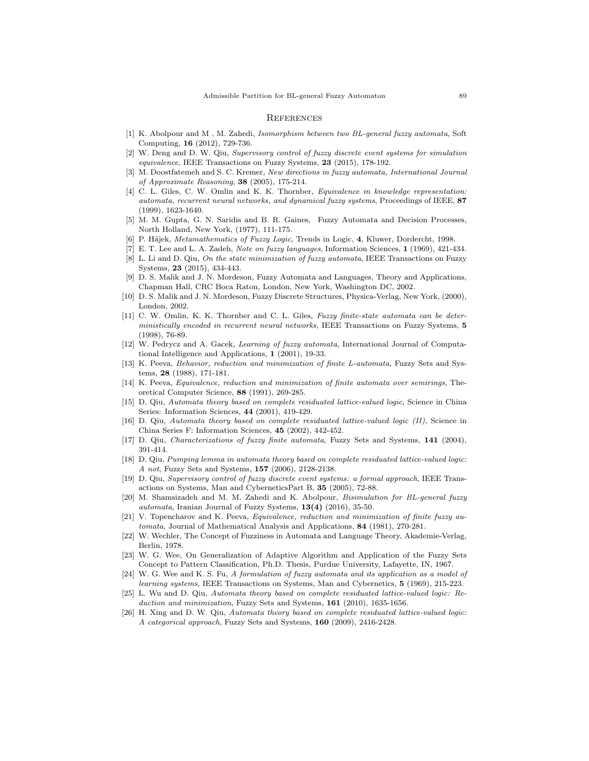#### **REFERENCES**

- [1] K. Abolpour and M . M. Zahedi, Isomorphism between two BL-general fuzzy automata, Soft Computing, 16 (2012), 729-736.
- [2] W. Deng and D. W. Qiu, Supervisory control of fuzzy discrete event systems for simulation equivalence, IEEE Transactions on Fuzzy Systems, 23 (2015), 178-192.
- [3] M. Doostfatemeh and S. C. Kremer, New directions in fuzzy automata, International Journal of Approximate Reasoning, 38 (2005), 175-214.
- [4] C. L. Giles, C. W. Omlin and K. K. Thornber, *Equivalence in knowledge representation*: automata, recurrent neural networks, and dynamical fuzzy systems, Proceedings of IEEE, 87 (1999), 1623-1640.
- [5] M. M. Gupta, G. N. Saridis and B. R. Gaines, Fuzzy Automata and Decision Processes, North Holland, New York, (1977), 111-175.
- [6] P. H´ajek, Metamathematics of Fuzzy Logic, Trends in Logic, 4, Kluwer, Dordercht, 1998.
- [7] E. T. Lee and L. A. Zadeh, Note on fuzzy languages, Information Sciences, 1 (1969), 421-434. L. Li and D. Qiu, On the state minimization of fuzzy automata, IEEE Transactions on Fuzzy
- Systems, 23 (2015), 434-443.
- [9] D. S. Malik and J. N. Mordeson, Fuzzy Automata and Languages, Theory and Applications, Chapman Hall, CRC Boca Raton, London, New York, Washington DC, 2002.
- [10] D. S. Malik and J. N. Mordeson, Fuzzy Discrete Structures, Physica-Verlag, New York, (2000), London, 2002.
- [11] C. W. Omlin, K. K. Thornber and C. L. Giles, Fuzzy finite-state automata can be deterministically encoded in recurrent neural networks, IEEE Transactions on Fuzzy Systems, 5 (1998), 76-89.
- [12] W. Pedrycz and A. Gacek, Learning of fuzzy automata, International Journal of Computational Intelligence and Applications, 1 (2001), 19-33.
- [13] K. Peeva, Behavior, reduction and minimization of finite L-automata, Fuzzy Sets and Systems, 28 (1988), 171-181.
- [14] K. Peeva, Equivalence, reduction and minimization of finite automata over semirings, Theoretical Computer Science, 88 (1991), 269-285.
- [15] D. Qiu, Automata theory based on complete residuated lattice-valued logic, Science in China Series: Information Sciences, 44 (2001), 419-429.
- [16] D. Qiu, Automata theory based on complete residuated lattice-valued logic (II), Science in China Series F: Information Sciences, 45 (2002), 442-452.
- [17] D. Qiu, Characterizations of fuzzy finite automata, Fuzzy Sets and Systems, 141 (2004), 391-414.
- [18] D. Qiu, Pumping lemma in automata theory based on complete residuated lattice-valued logic: A not, Fuzzy Sets and Systems, 157 (2006), 2128-2138.
- [19] D. Qiu, Supervisory control of fuzzy discrete event systems: a formal approach, IEEE Transactions on Systems, Man and CyberneticsPart B, 35 (2005), 72-88.
- [20] M. Shamsizadeh and M. M. Zahedi and K. Abolpour, *Bisimulation for BL-general fuzzy* automata, Iranian Journal of Fuzzy Systems,  $13(4)$  (2016), 35-50.
- [21] V. Topencharov and K. Peeva, Equivalence, reduction and minimization of finite fuzzy automata, Journal of Mathematical Analysis and Applications, 84 (1981), 270-281.
- [22] W. Wechler, The Concept of Fuzziness in Automata and Language Theory, Akademie-Verlag, Berlin, 1978.
- [23] W. G. Wee, On Generalization of Adaptive Algorithm and Application of the Fuzzy Sets Concept to Pattern Classification, Ph.D. Thesis, Purdue University, Lafayette, IN, 1967.
- [24] W. G. Wee and K. S. Fu, A formulation of fuzzy automata and its application as a model of learning systems, IEEE Transactions on Systems, Man and Cybernetics, 5 (1969), 215-223.
- [25] L. Wu and D. Qiu, Automata theory based on complete residuated lattice-valued logic: Reduction and minimization, Fuzzy Sets and Systems, 161 (2010), 1635-1656.
- [26] H. Xing and D. W. Qiu, Automata theory based on complete residuated lattice-valued logic: A categorical approach, Fuzzy Sets and Systems, 160 (2009), 2416-2428.